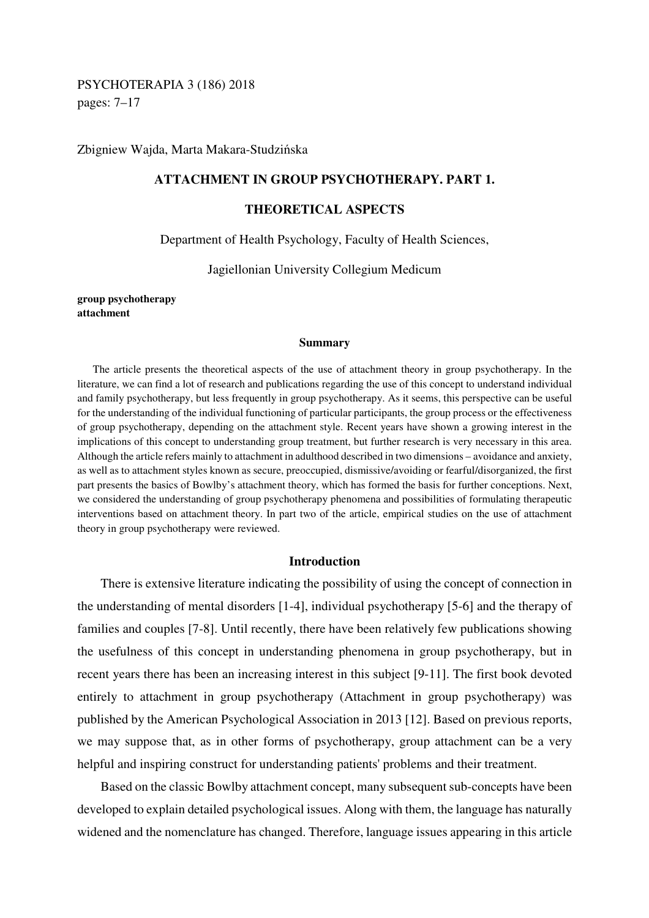# PSYCHOTERAPIA 3 (186) 2018 pages: 7–17

Zbigniew Wajda, Marta Makara-Studzińska

## **ATTACHMENT IN GROUP PSYCHOTHERAPY. PART 1.**

## **THEORETICAL ASPECTS**

#### Department of Health Psychology, Faculty of Health Sciences,

#### Jagiellonian University Collegium Medicum

**group psychotherapy attachment** 

#### **Summary**

The article presents the theoretical aspects of the use of attachment theory in group psychotherapy. In the literature, we can find a lot of research and publications regarding the use of this concept to understand individual and family psychotherapy, but less frequently in group psychotherapy. As it seems, this perspective can be useful for the understanding of the individual functioning of particular participants, the group process or the effectiveness of group psychotherapy, depending on the attachment style. Recent years have shown a growing interest in the implications of this concept to understanding group treatment, but further research is very necessary in this area. Although the article refers mainly to attachment in adulthood described in two dimensions – avoidance and anxiety, as well as to attachment styles known as secure, preoccupied, dismissive/avoiding or fearful/disorganized, the first part presents the basics of Bowlby's attachment theory, which has formed the basis for further conceptions. Next, we considered the understanding of group psychotherapy phenomena and possibilities of formulating therapeutic interventions based on attachment theory. In part two of the article, empirical studies on the use of attachment theory in group psychotherapy were reviewed.

#### **Introduction**

There is extensive literature indicating the possibility of using the concept of connection in the understanding of mental disorders [1-4], individual psychotherapy [5-6] and the therapy of families and couples [7-8]. Until recently, there have been relatively few publications showing the usefulness of this concept in understanding phenomena in group psychotherapy, but in recent years there has been an increasing interest in this subject [9-11]. The first book devoted entirely to attachment in group psychotherapy (Attachment in group psychotherapy) was published by the American Psychological Association in 2013 [12]. Based on previous reports, we may suppose that, as in other forms of psychotherapy, group attachment can be a very helpful and inspiring construct for understanding patients' problems and their treatment.

Based on the classic Bowlby attachment concept, many subsequent sub-concepts have been developed to explain detailed psychological issues. Along with them, the language has naturally widened and the nomenclature has changed. Therefore, language issues appearing in this article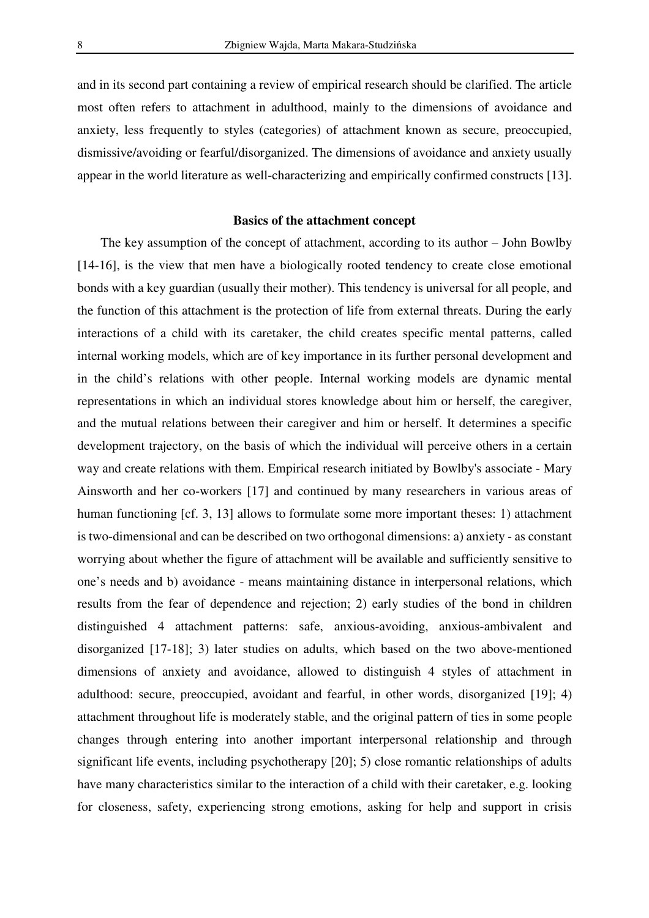and in its second part containing a review of empirical research should be clarified. The article most often refers to attachment in adulthood, mainly to the dimensions of avoidance and anxiety, less frequently to styles (categories) of attachment known as secure, preoccupied, dismissive/avoiding or fearful/disorganized. The dimensions of avoidance and anxiety usually appear in the world literature as well-characterizing and empirically confirmed constructs [13].

#### **Basics of the attachment concept**

The key assumption of the concept of attachment, according to its author – John Bowlby [14-16], is the view that men have a biologically rooted tendency to create close emotional bonds with a key guardian (usually their mother). This tendency is universal for all people, and the function of this attachment is the protection of life from external threats. During the early interactions of a child with its caretaker, the child creates specific mental patterns, called internal working models, which are of key importance in its further personal development and in the child's relations with other people. Internal working models are dynamic mental representations in which an individual stores knowledge about him or herself, the caregiver, and the mutual relations between their caregiver and him or herself. It determines a specific development trajectory, on the basis of which the individual will perceive others in a certain way and create relations with them. Empirical research initiated by Bowlby's associate - Mary Ainsworth and her co-workers [17] and continued by many researchers in various areas of human functioning [cf. 3, 13] allows to formulate some more important theses: 1) attachment is two-dimensional and can be described on two orthogonal dimensions: a) anxiety - as constant worrying about whether the figure of attachment will be available and sufficiently sensitive to one's needs and b) avoidance - means maintaining distance in interpersonal relations, which results from the fear of dependence and rejection; 2) early studies of the bond in children distinguished 4 attachment patterns: safe, anxious-avoiding, anxious-ambivalent and disorganized [17-18]; 3) later studies on adults, which based on the two above-mentioned dimensions of anxiety and avoidance, allowed to distinguish 4 styles of attachment in adulthood: secure, preoccupied, avoidant and fearful, in other words, disorganized [19]; 4) attachment throughout life is moderately stable, and the original pattern of ties in some people changes through entering into another important interpersonal relationship and through significant life events, including psychotherapy [20]; 5) close romantic relationships of adults have many characteristics similar to the interaction of a child with their caretaker, e.g. looking for closeness, safety, experiencing strong emotions, asking for help and support in crisis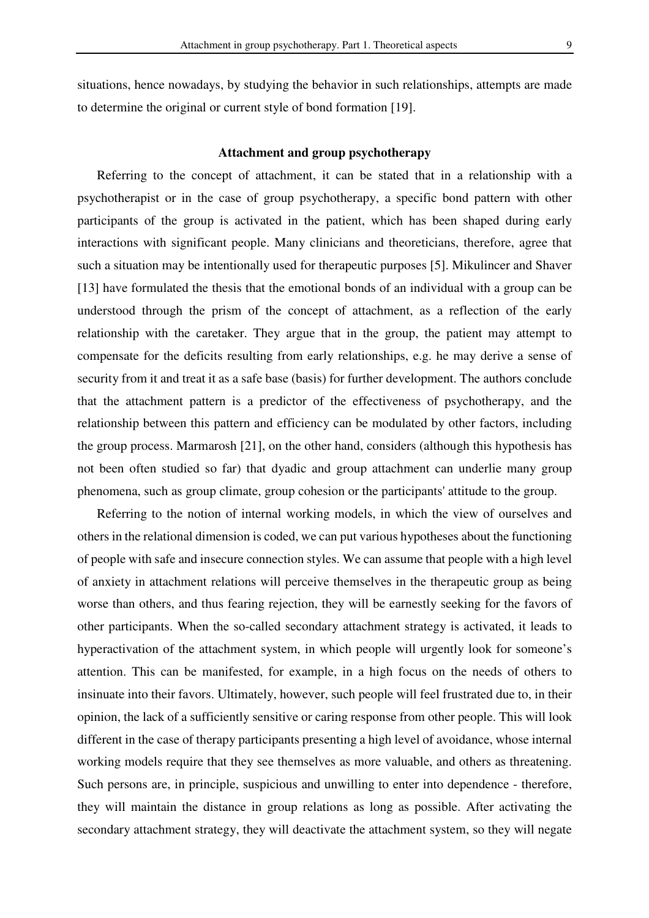situations, hence nowadays, by studying the behavior in such relationships, attempts are made to determine the original or current style of bond formation [19].

### **Attachment and group psychotherapy**

Referring to the concept of attachment, it can be stated that in a relationship with a psychotherapist or in the case of group psychotherapy, a specific bond pattern with other participants of the group is activated in the patient, which has been shaped during early interactions with significant people. Many clinicians and theoreticians, therefore, agree that such a situation may be intentionally used for therapeutic purposes [5]. Mikulincer and Shaver [13] have formulated the thesis that the emotional bonds of an individual with a group can be understood through the prism of the concept of attachment, as a reflection of the early relationship with the caretaker. They argue that in the group, the patient may attempt to compensate for the deficits resulting from early relationships, e.g. he may derive a sense of security from it and treat it as a safe base (basis) for further development. The authors conclude that the attachment pattern is a predictor of the effectiveness of psychotherapy, and the relationship between this pattern and efficiency can be modulated by other factors, including the group process. Marmarosh [21], on the other hand, considers (although this hypothesis has not been often studied so far) that dyadic and group attachment can underlie many group phenomena, such as group climate, group cohesion or the participants' attitude to the group.

Referring to the notion of internal working models, in which the view of ourselves and others in the relational dimension is coded, we can put various hypotheses about the functioning of people with safe and insecure connection styles. We can assume that people with a high level of anxiety in attachment relations will perceive themselves in the therapeutic group as being worse than others, and thus fearing rejection, they will be earnestly seeking for the favors of other participants. When the so-called secondary attachment strategy is activated, it leads to hyperactivation of the attachment system, in which people will urgently look for someone's attention. This can be manifested, for example, in a high focus on the needs of others to insinuate into their favors. Ultimately, however, such people will feel frustrated due to, in their opinion, the lack of a sufficiently sensitive or caring response from other people. This will look different in the case of therapy participants presenting a high level of avoidance, whose internal working models require that they see themselves as more valuable, and others as threatening. Such persons are, in principle, suspicious and unwilling to enter into dependence - therefore, they will maintain the distance in group relations as long as possible. After activating the secondary attachment strategy, they will deactivate the attachment system, so they will negate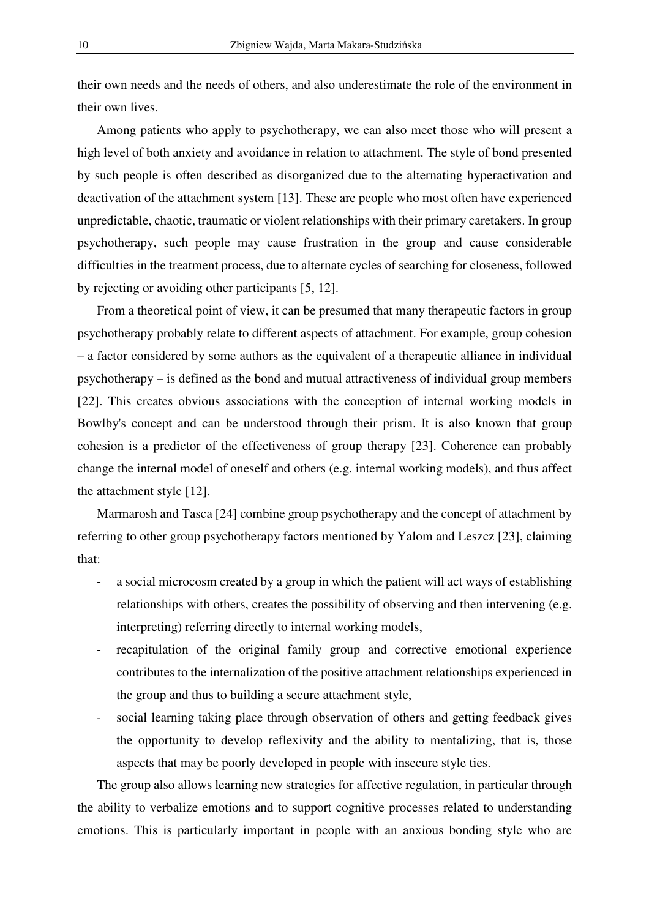their own needs and the needs of others, and also underestimate the role of the environment in their own lives.

Among patients who apply to psychotherapy, we can also meet those who will present a high level of both anxiety and avoidance in relation to attachment. The style of bond presented by such people is often described as disorganized due to the alternating hyperactivation and deactivation of the attachment system [13]. These are people who most often have experienced unpredictable, chaotic, traumatic or violent relationships with their primary caretakers. In group psychotherapy, such people may cause frustration in the group and cause considerable difficulties in the treatment process, due to alternate cycles of searching for closeness, followed by rejecting or avoiding other participants [5, 12].

From a theoretical point of view, it can be presumed that many therapeutic factors in group psychotherapy probably relate to different aspects of attachment. For example, group cohesion – a factor considered by some authors as the equivalent of a therapeutic alliance in individual psychotherapy – is defined as the bond and mutual attractiveness of individual group members [22]. This creates obvious associations with the conception of internal working models in Bowlby's concept and can be understood through their prism. It is also known that group cohesion is a predictor of the effectiveness of group therapy [23]. Coherence can probably change the internal model of oneself and others (e.g. internal working models), and thus affect the attachment style [12].

Marmarosh and Tasca [24] combine group psychotherapy and the concept of attachment by referring to other group psychotherapy factors mentioned by Yalom and Leszcz [23], claiming that:

- a social microcosm created by a group in which the patient will act ways of establishing relationships with others, creates the possibility of observing and then intervening (e.g. interpreting) referring directly to internal working models,
- recapitulation of the original family group and corrective emotional experience contributes to the internalization of the positive attachment relationships experienced in the group and thus to building a secure attachment style,
- social learning taking place through observation of others and getting feedback gives the opportunity to develop reflexivity and the ability to mentalizing, that is, those aspects that may be poorly developed in people with insecure style ties.

The group also allows learning new strategies for affective regulation, in particular through the ability to verbalize emotions and to support cognitive processes related to understanding emotions. This is particularly important in people with an anxious bonding style who are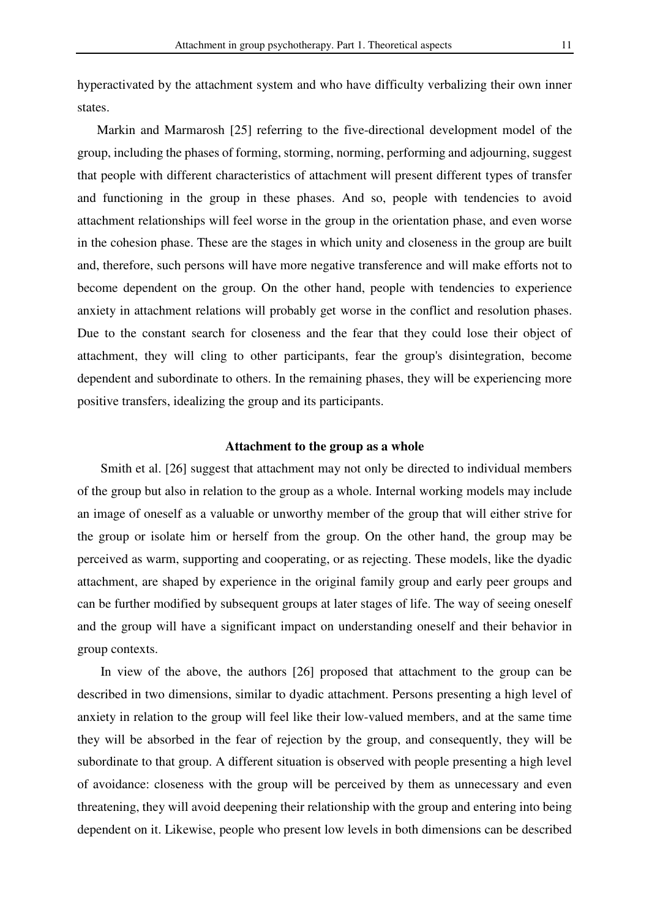hyperactivated by the attachment system and who have difficulty verbalizing their own inner states.

Markin and Marmarosh [25] referring to the five-directional development model of the group, including the phases of forming, storming, norming, performing and adjourning, suggest that people with different characteristics of attachment will present different types of transfer and functioning in the group in these phases. And so, people with tendencies to avoid attachment relationships will feel worse in the group in the orientation phase, and even worse in the cohesion phase. These are the stages in which unity and closeness in the group are built and, therefore, such persons will have more negative transference and will make efforts not to become dependent on the group. On the other hand, people with tendencies to experience anxiety in attachment relations will probably get worse in the conflict and resolution phases. Due to the constant search for closeness and the fear that they could lose their object of attachment, they will cling to other participants, fear the group's disintegration, become dependent and subordinate to others. In the remaining phases, they will be experiencing more positive transfers, idealizing the group and its participants.

#### **Attachment to the group as a whole**

Smith et al. [26] suggest that attachment may not only be directed to individual members of the group but also in relation to the group as a whole. Internal working models may include an image of oneself as a valuable or unworthy member of the group that will either strive for the group or isolate him or herself from the group. On the other hand, the group may be perceived as warm, supporting and cooperating, or as rejecting. These models, like the dyadic attachment, are shaped by experience in the original family group and early peer groups and can be further modified by subsequent groups at later stages of life. The way of seeing oneself and the group will have a significant impact on understanding oneself and their behavior in group contexts.

In view of the above, the authors [26] proposed that attachment to the group can be described in two dimensions, similar to dyadic attachment. Persons presenting a high level of anxiety in relation to the group will feel like their low-valued members, and at the same time they will be absorbed in the fear of rejection by the group, and consequently, they will be subordinate to that group. A different situation is observed with people presenting a high level of avoidance: closeness with the group will be perceived by them as unnecessary and even threatening, they will avoid deepening their relationship with the group and entering into being dependent on it. Likewise, people who present low levels in both dimensions can be described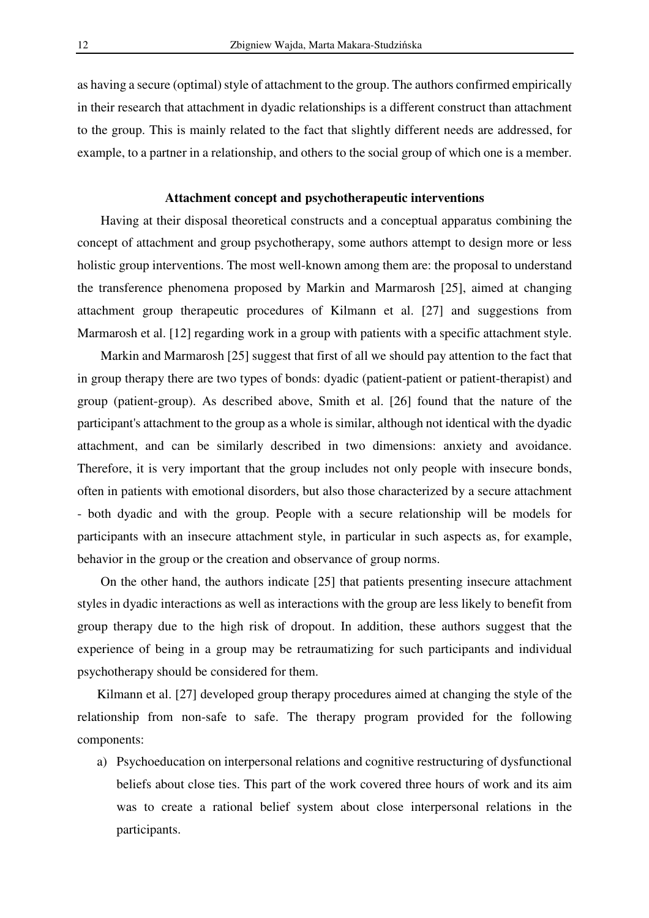as having a secure (optimal) style of attachment to the group. The authors confirmed empirically in their research that attachment in dyadic relationships is a different construct than attachment to the group. This is mainly related to the fact that slightly different needs are addressed, for example, to a partner in a relationship, and others to the social group of which one is a member.

### **Attachment concept and psychotherapeutic interventions**

Having at their disposal theoretical constructs and a conceptual apparatus combining the concept of attachment and group psychotherapy, some authors attempt to design more or less holistic group interventions. The most well-known among them are: the proposal to understand the transference phenomena proposed by Markin and Marmarosh [25], aimed at changing attachment group therapeutic procedures of Kilmann et al. [27] and suggestions from Marmarosh et al. [12] regarding work in a group with patients with a specific attachment style.

Markin and Marmarosh [25] suggest that first of all we should pay attention to the fact that in group therapy there are two types of bonds: dyadic (patient-patient or patient-therapist) and group (patient-group). As described above, Smith et al. [26] found that the nature of the participant's attachment to the group as a whole is similar, although not identical with the dyadic attachment, and can be similarly described in two dimensions: anxiety and avoidance. Therefore, it is very important that the group includes not only people with insecure bonds, often in patients with emotional disorders, but also those characterized by a secure attachment - both dyadic and with the group. People with a secure relationship will be models for participants with an insecure attachment style, in particular in such aspects as, for example, behavior in the group or the creation and observance of group norms.

On the other hand, the authors indicate [25] that patients presenting insecure attachment styles in dyadic interactions as well as interactions with the group are less likely to benefit from group therapy due to the high risk of dropout. In addition, these authors suggest that the experience of being in a group may be retraumatizing for such participants and individual psychotherapy should be considered for them.

Kilmann et al. [27] developed group therapy procedures aimed at changing the style of the relationship from non-safe to safe. The therapy program provided for the following components:

a) Psychoeducation on interpersonal relations and cognitive restructuring of dysfunctional beliefs about close ties. This part of the work covered three hours of work and its aim was to create a rational belief system about close interpersonal relations in the participants.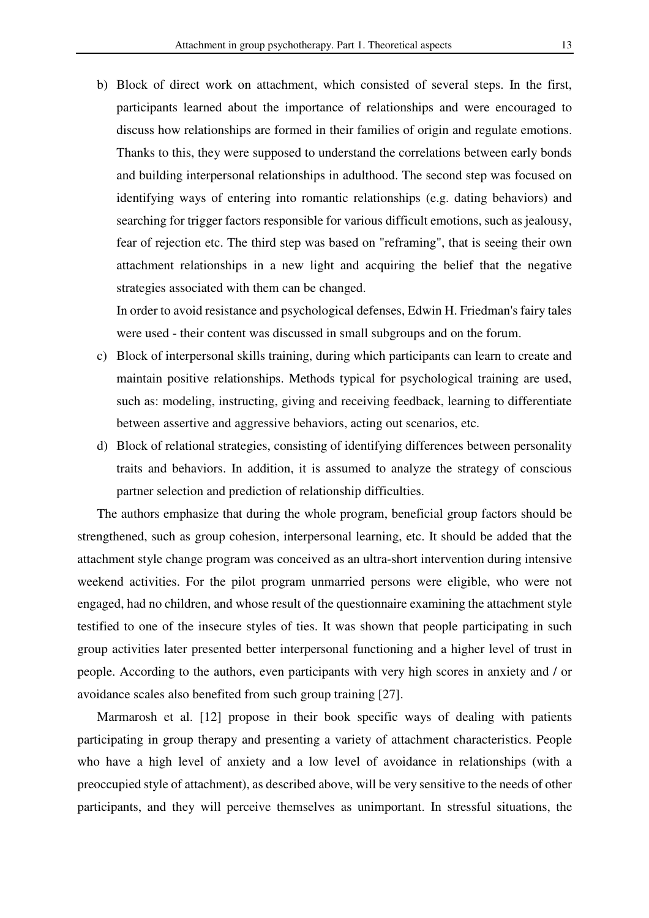b) Block of direct work on attachment, which consisted of several steps. In the first, participants learned about the importance of relationships and were encouraged to discuss how relationships are formed in their families of origin and regulate emotions. Thanks to this, they were supposed to understand the correlations between early bonds and building interpersonal relationships in adulthood. The second step was focused on identifying ways of entering into romantic relationships (e.g. dating behaviors) and searching for trigger factors responsible for various difficult emotions, such as jealousy, fear of rejection etc. The third step was based on "reframing", that is seeing their own attachment relationships in a new light and acquiring the belief that the negative strategies associated with them can be changed.

In order to avoid resistance and psychological defenses, Edwin H. Friedman's fairy tales were used - their content was discussed in small subgroups and on the forum.

- c) Block of interpersonal skills training, during which participants can learn to create and maintain positive relationships. Methods typical for psychological training are used, such as: modeling, instructing, giving and receiving feedback, learning to differentiate between assertive and aggressive behaviors, acting out scenarios, etc.
- d) Block of relational strategies, consisting of identifying differences between personality traits and behaviors. In addition, it is assumed to analyze the strategy of conscious partner selection and prediction of relationship difficulties.

The authors emphasize that during the whole program, beneficial group factors should be strengthened, such as group cohesion, interpersonal learning, etc. It should be added that the attachment style change program was conceived as an ultra-short intervention during intensive weekend activities. For the pilot program unmarried persons were eligible, who were not engaged, had no children, and whose result of the questionnaire examining the attachment style testified to one of the insecure styles of ties. It was shown that people participating in such group activities later presented better interpersonal functioning and a higher level of trust in people. According to the authors, even participants with very high scores in anxiety and / or avoidance scales also benefited from such group training [27].

Marmarosh et al. [12] propose in their book specific ways of dealing with patients participating in group therapy and presenting a variety of attachment characteristics. People who have a high level of anxiety and a low level of avoidance in relationships (with a preoccupied style of attachment), as described above, will be very sensitive to the needs of other participants, and they will perceive themselves as unimportant. In stressful situations, the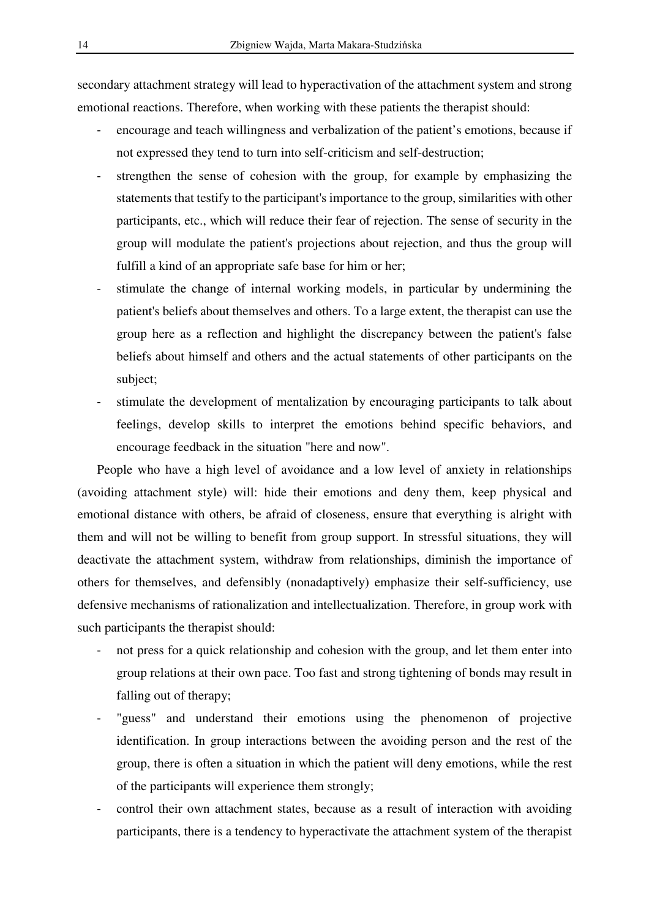secondary attachment strategy will lead to hyperactivation of the attachment system and strong emotional reactions. Therefore, when working with these patients the therapist should:

- encourage and teach willingness and verbalization of the patient's emotions, because if not expressed they tend to turn into self-criticism and self-destruction;
- strengthen the sense of cohesion with the group, for example by emphasizing the statements that testify to the participant's importance to the group, similarities with other participants, etc., which will reduce their fear of rejection. The sense of security in the group will modulate the patient's projections about rejection, and thus the group will fulfill a kind of an appropriate safe base for him or her;
- stimulate the change of internal working models, in particular by undermining the patient's beliefs about themselves and others. To a large extent, the therapist can use the group here as a reflection and highlight the discrepancy between the patient's false beliefs about himself and others and the actual statements of other participants on the subject;
- stimulate the development of mentalization by encouraging participants to talk about feelings, develop skills to interpret the emotions behind specific behaviors, and encourage feedback in the situation "here and now".

People who have a high level of avoidance and a low level of anxiety in relationships (avoiding attachment style) will: hide their emotions and deny them, keep physical and emotional distance with others, be afraid of closeness, ensure that everything is alright with them and will not be willing to benefit from group support. In stressful situations, they will deactivate the attachment system, withdraw from relationships, diminish the importance of others for themselves, and defensibly (nonadaptively) emphasize their self-sufficiency, use defensive mechanisms of rationalization and intellectualization. Therefore, in group work with such participants the therapist should:

- not press for a quick relationship and cohesion with the group, and let them enter into group relations at their own pace. Too fast and strong tightening of bonds may result in falling out of therapy;
- "guess" and understand their emotions using the phenomenon of projective identification. In group interactions between the avoiding person and the rest of the group, there is often a situation in which the patient will deny emotions, while the rest of the participants will experience them strongly;
- control their own attachment states, because as a result of interaction with avoiding participants, there is a tendency to hyperactivate the attachment system of the therapist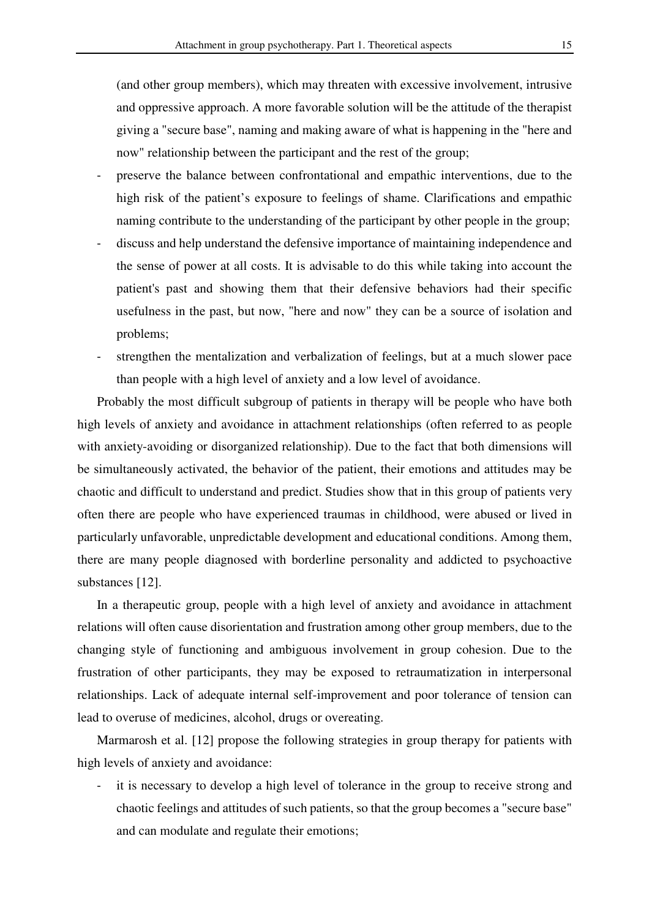(and other group members), which may threaten with excessive involvement, intrusive and oppressive approach. A more favorable solution will be the attitude of the therapist giving a "secure base", naming and making aware of what is happening in the "here and now" relationship between the participant and the rest of the group;

- preserve the balance between confrontational and empathic interventions, due to the high risk of the patient's exposure to feelings of shame. Clarifications and empathic naming contribute to the understanding of the participant by other people in the group;
- discuss and help understand the defensive importance of maintaining independence and the sense of power at all costs. It is advisable to do this while taking into account the patient's past and showing them that their defensive behaviors had their specific usefulness in the past, but now, "here and now" they can be a source of isolation and problems;
- strengthen the mentalization and verbalization of feelings, but at a much slower pace than people with a high level of anxiety and a low level of avoidance.

Probably the most difficult subgroup of patients in therapy will be people who have both high levels of anxiety and avoidance in attachment relationships (often referred to as people with anxiety-avoiding or disorganized relationship). Due to the fact that both dimensions will be simultaneously activated, the behavior of the patient, their emotions and attitudes may be chaotic and difficult to understand and predict. Studies show that in this group of patients very often there are people who have experienced traumas in childhood, were abused or lived in particularly unfavorable, unpredictable development and educational conditions. Among them, there are many people diagnosed with borderline personality and addicted to psychoactive substances [12].

In a therapeutic group, people with a high level of anxiety and avoidance in attachment relations will often cause disorientation and frustration among other group members, due to the changing style of functioning and ambiguous involvement in group cohesion. Due to the frustration of other participants, they may be exposed to retraumatization in interpersonal relationships. Lack of adequate internal self-improvement and poor tolerance of tension can lead to overuse of medicines, alcohol, drugs or overeating.

Marmarosh et al. [12] propose the following strategies in group therapy for patients with high levels of anxiety and avoidance:

- it is necessary to develop a high level of tolerance in the group to receive strong and chaotic feelings and attitudes of such patients, so that the group becomes a "secure base" and can modulate and regulate their emotions;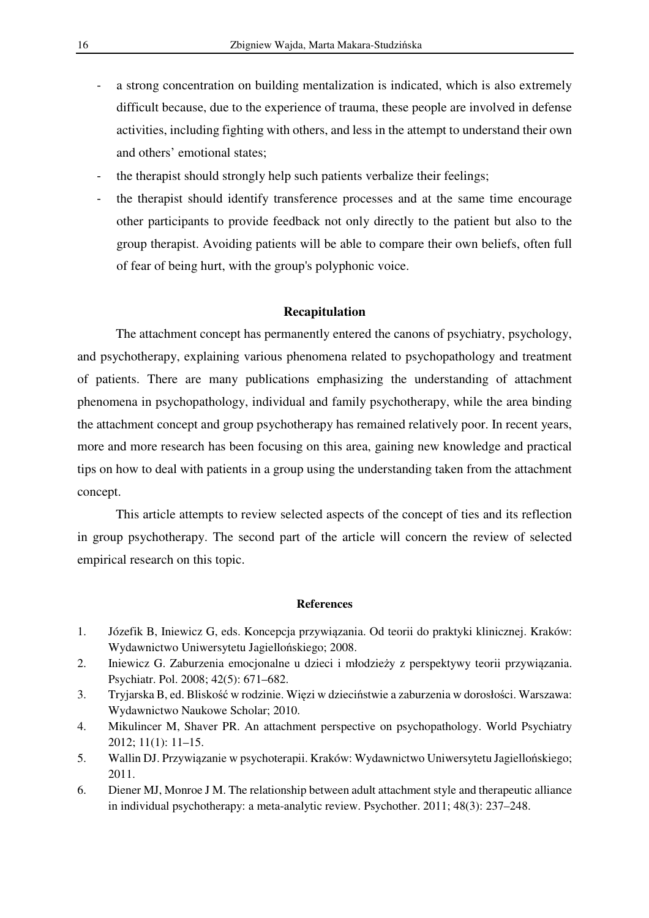- a strong concentration on building mentalization is indicated, which is also extremely difficult because, due to the experience of trauma, these people are involved in defense activities, including fighting with others, and less in the attempt to understand their own and others' emotional states;
- the therapist should strongly help such patients verbalize their feelings;
- the therapist should identify transference processes and at the same time encourage other participants to provide feedback not only directly to the patient but also to the group therapist. Avoiding patients will be able to compare their own beliefs, often full of fear of being hurt, with the group's polyphonic voice.

### **Recapitulation**

The attachment concept has permanently entered the canons of psychiatry, psychology, and psychotherapy, explaining various phenomena related to psychopathology and treatment of patients. There are many publications emphasizing the understanding of attachment phenomena in psychopathology, individual and family psychotherapy, while the area binding the attachment concept and group psychotherapy has remained relatively poor. In recent years, more and more research has been focusing on this area, gaining new knowledge and practical tips on how to deal with patients in a group using the understanding taken from the attachment concept.

This article attempts to review selected aspects of the concept of ties and its reflection in group psychotherapy. The second part of the article will concern the review of selected empirical research on this topic.

#### **References**

- 1. Józefik B, Iniewicz G, eds. Koncepcja przywiązania. Od teorii do praktyki klinicznej. Kraków: Wydawnictwo Uniwersytetu Jagiellońskiego; 2008.
- 2. Iniewicz G. Zaburzenia emocjonalne u dzieci i młodzieży z perspektywy teorii przywiązania. Psychiatr. Pol. 2008; 42(5): 671–682.
- 3. Tryjarska B, ed. Bliskość w rodzinie. Więzi w dzieciństwie a zaburzenia w dorosłości. Warszawa: Wydawnictwo Naukowe Scholar; 2010.
- 4. Mikulincer M, Shaver PR. An attachment perspective on psychopathology. World Psychiatry 2012; 11(1): 11–15.
- 5. Wallin DJ. Przywiązanie w psychoterapii. Kraków: Wydawnictwo Uniwersytetu Jagiellońskiego; 2011.
- 6. Diener MJ, Monroe J M. The relationship between adult attachment style and therapeutic alliance in individual psychotherapy: a meta-analytic review. Psychother. 2011; 48(3): 237–248.